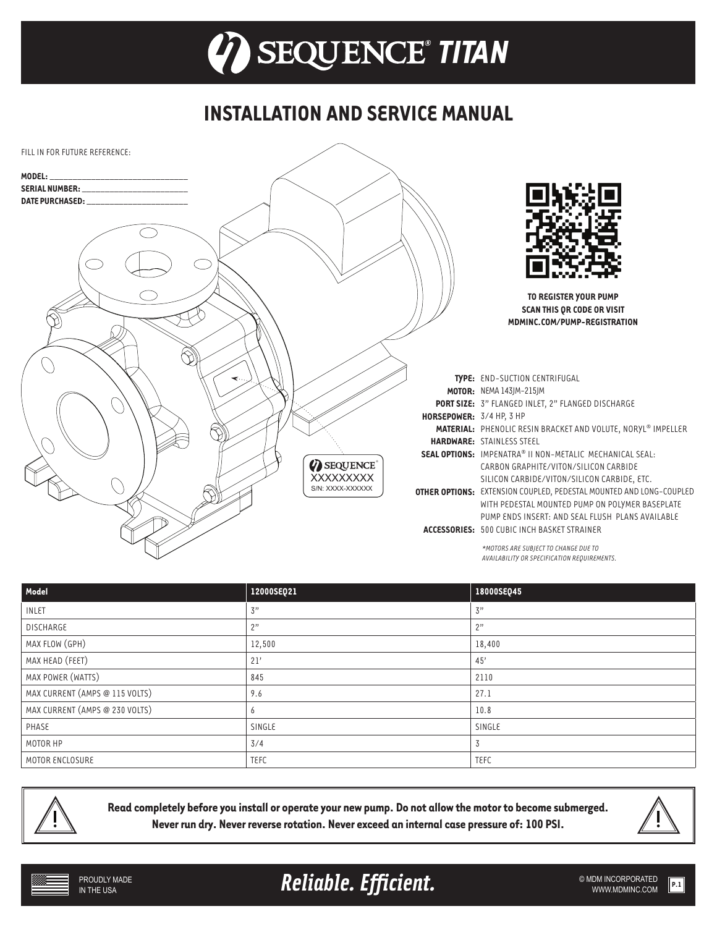## *® TITAN*

## **INSTALLATION AND SERVICE MANUAL**



| Model                          | 12000SEQ21   | 18000SEQ45  |
|--------------------------------|--------------|-------------|
| <b>INLET</b>                   | 3"           | 3"          |
| <b>DISCHARGE</b>               | 2"           | 2"          |
| MAX FLOW (GPH)                 | 12,500       | 18,400      |
| MAX HEAD (FEET)                | 21'          | 45'         |
| MAX POWER (WATTS)              | 845          | 2110        |
| MAX CURRENT (AMPS @ 115 VOLTS) | 9.6          | 27.1        |
| MAX CURRENT (AMPS @ 230 VOLTS) | <sub>b</sub> | 10.8        |
| PHASE                          | SINGLE       | SINGLE      |
| MOTOR HP                       | 3/4          | 3           |
| MOTOR ENCLOSURE                | <b>TEFC</b>  | <b>TEFC</b> |



**Read completely before you install or operate your new pump. Do not allow the motor to become submerged. Never run dry. Never reverse rotation. Never exceed an internal case pressure of: 100 PSI.**



**Reliable. Efficient.** We also a subminicorporated **Reliable.** Efficient.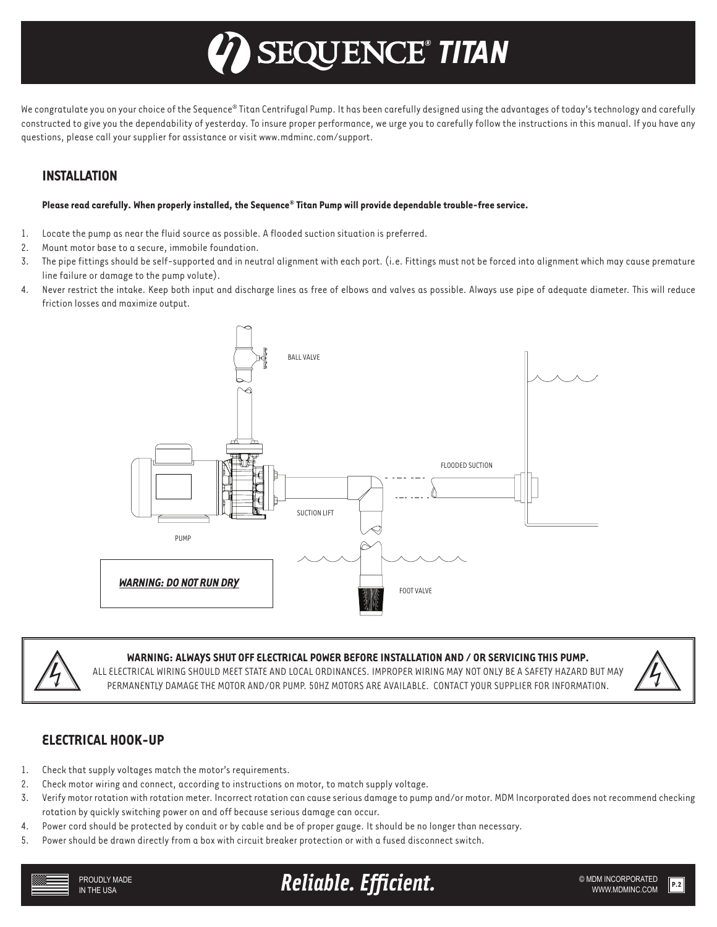## *® TITAN*

We congratulate you on your choice of the Sequence® Titan Centrifugal Pump. It has been carefully designed using the advantages of today's technology and carefully constructed to give you the dependability of yesterday. To insure proper performance, we urge you to carefully follow the instructions in this manual. If you have any questions, please call your supplier for assistance or visit www.mdminc.com/support.

## **INSTALLATION**

#### **Please read carefully. When properly installed, the Sequence® Titan Pump will provide dependable trouble-free service.**

- 1. Locate the pump as near the fluid source as possible. A flooded suction situation is preferred.
- 2. Mount motor base to a secure, immobile foundation.
- 3. The pipe fittings should be self-supported and in neutral alignment with each port. (i.e. Fittings must not be forced into alignment which may cause premature line failure or damage to the pump volute).
- 4. Never restrict the intake. Keep both input and discharge lines as free of elbows and valves as possible. Always use pipe of adequate diameter. This will reduce friction losses and maximize output.





### **WARNING: ALWAYS SHUT OFF ELECTRICAL POWER BEFORE INSTALLATION AND / OR SERVICING THIS PUMP.**

ALL ELECTRICAL WIRING SHOULD MEET STATE AND LOCAL ORDINANCES. IMPROPER WIRING MAY NOT ONLY BE A SAFETY HAZARD BUT MAY PERMANENTLY DAMAGE THE MOTOR AND/OR PUMP. 50HZ MOTORS ARE AVAILABLE. CONTACT YOUR SUPPLIER FOR INFORMATION.



## **ELECTRICAL HOOK-UP**

- 1. Check that supply voltages match the motor's requirements.
- 2. Check motor wiring and connect, according to instructions on motor, to match supply voltage.
- 3. Verify motor rotation with rotation meter. Incorrect rotation can cause serious damage to pump and/or motor. MDM Incorporated does not recommend checking rotation by quickly switching power on and off because serious damage can occur.
- 4. Power cord should be protected by conduit or by cable and be of proper gauge. It should be no longer than necessary.
- 5. Power should be drawn directly from a box with circuit breaker protection or with a fused disconnect switch.



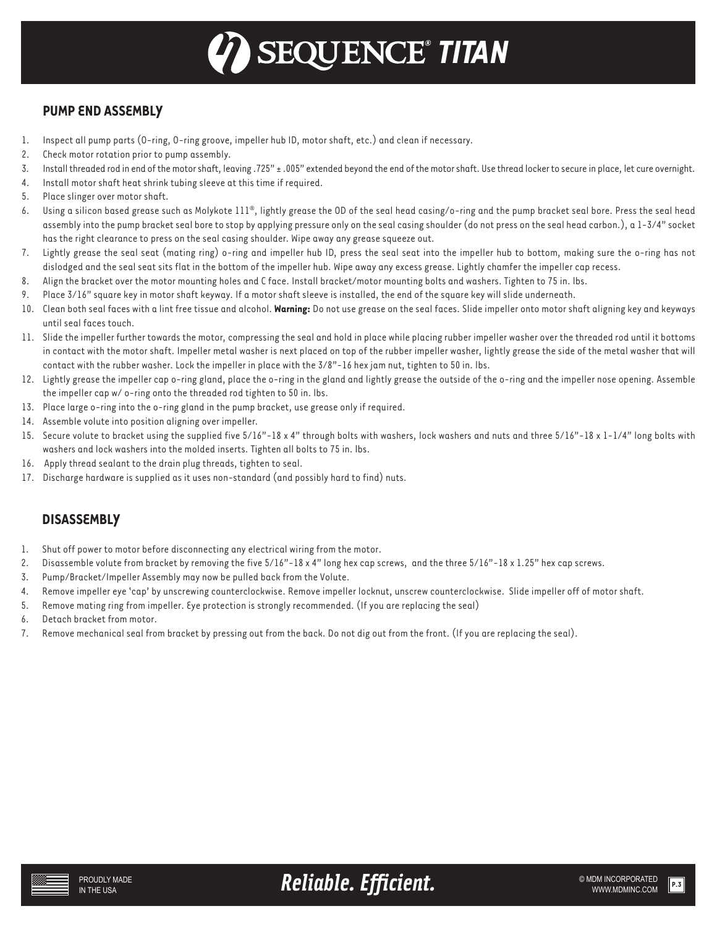# *® TITAN*

## **PUMP END ASSEMBLY**

- 1. Inspect all pump parts (O-ring, O-ring groove, impeller hub ID, motor shaft, etc.) and clean if necessary.
- 2. Check motor rotation prior to pump assembly.
- 3. Install threaded rod in end of the motor shaft, leaving .725" ± .005" extended beyond the end of the motor shaft. Use thread locker to secure in place, let cure overnight.
- 4. Install motor shaft heat shrink tubing sleeve at this time if required.
- 5. Place slinger over motor shaft.
- 6. Using a silicon based grease such as Molykote 111®, lightly grease the OD of the seal head casing/o-ring and the pump bracket seal bore. Press the seal head assembly into the pump bracket seal bore to stop by applying pressure only on the seal casing shoulder (do not press on the seal head carbon.), a 1-3/4" socket has the right clearance to press on the seal casing shoulder. Wipe away any grease squeeze out.
- 7. Lightly grease the seal seat (mating ring) o-ring and impeller hub ID, press the seal seat into the impeller hub to bottom, making sure the o-ring has not dislodged and the seal seat sits flat in the bottom of the impeller hub. Wipe away any excess grease. Lightly chamfer the impeller cap recess.
- 8. Align the bracket over the motor mounting holes and C face. Install bracket/motor mounting bolts and washers. Tighten to 75 in. lbs.
- 9. Place 3/16" square key in motor shaft keyway. If a motor shaft sleeve is installed, the end of the square key will slide underneath.
- 10. Clean both seal faces with a lint free tissue and alcohol. **Warning:** Do not use grease on the seal faces. Slide impeller onto motor shaft aligning key and keyways until seal faces touch.
- 11. Slide the impeller further towards the motor, compressing the seal and hold in place while placing rubber impeller washer over the threaded rod until it bottoms in contact with the motor shaft. Impeller metal washer is next placed on top of the rubber impeller washer, lightly grease the side of the metal washer that will contact with the rubber washer. Lock the impeller in place with the 3/8"-16 hex jam nut, tighten to 50 in. lbs.
- 12. Lightly grease the impeller cap o-ring gland, place the o-ring in the gland and lightly grease the outside of the o-ring and the impeller nose opening. Assemble the impeller cap w/ o-ring onto the threaded rod tighten to 50 in. lbs.
- 13. Place large o-ring into the o-ring gland in the pump bracket, use grease only if required.
- 14. Assemble volute into position aligning over impeller.
- 15. Secure volute to bracket using the supplied five 5/16"-18 x 4" through bolts with washers, lock washers and nuts and three 5/16"-18 x 1-1/4" long bolts with washers and lock washers into the molded inserts. Tighten all bolts to 75 in. lbs.
- 16. Apply thread sealant to the drain plug threads, tighten to seal.
- 17. Discharge hardware is supplied as it uses non-standard (and possibly hard to find) nuts.

## **DISASSEMBLY**

- 1. Shut off power to motor before disconnecting any electrical wiring from the motor.
- 2. Disassemble volute from bracket by removing the five 5/16"-18 x 4" long hex cap screws, and the three 5/16"-18 x 1.25" hex cap screws.
- 3. Pump/Bracket/Impeller Assembly may now be pulled back from the Volute.
- 4. Remove impeller eye 'cap' by unscrewing counterclockwise. Remove impeller locknut, unscrew counterclockwise. Slide impeller off of motor shaft.
- 5. Remove mating ring from impeller. Eye protection is strongly recommended. (If you are replacing the seal)
- 6. Detach bracket from motor.
- 7. Remove mechanical seal from bracket by pressing out from the back. Do not dig out from the front. (If you are replacing the seal).

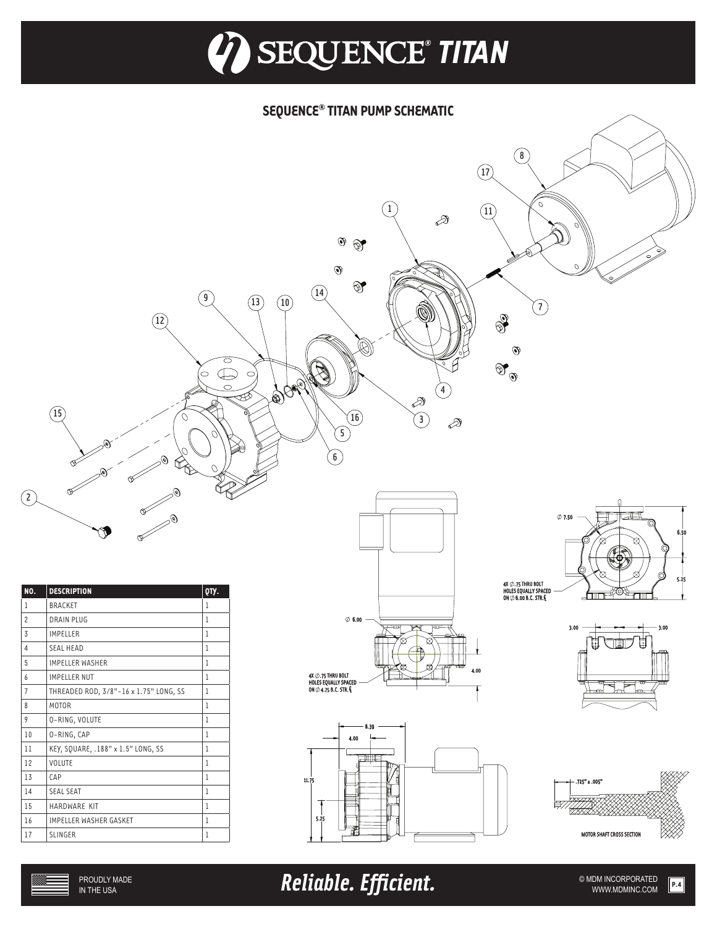

## **SEQUENCE® TITAN PUMP SCHEMATIC**



Reliable. Efficient. **Example 2018** SMDM INCORPORATED